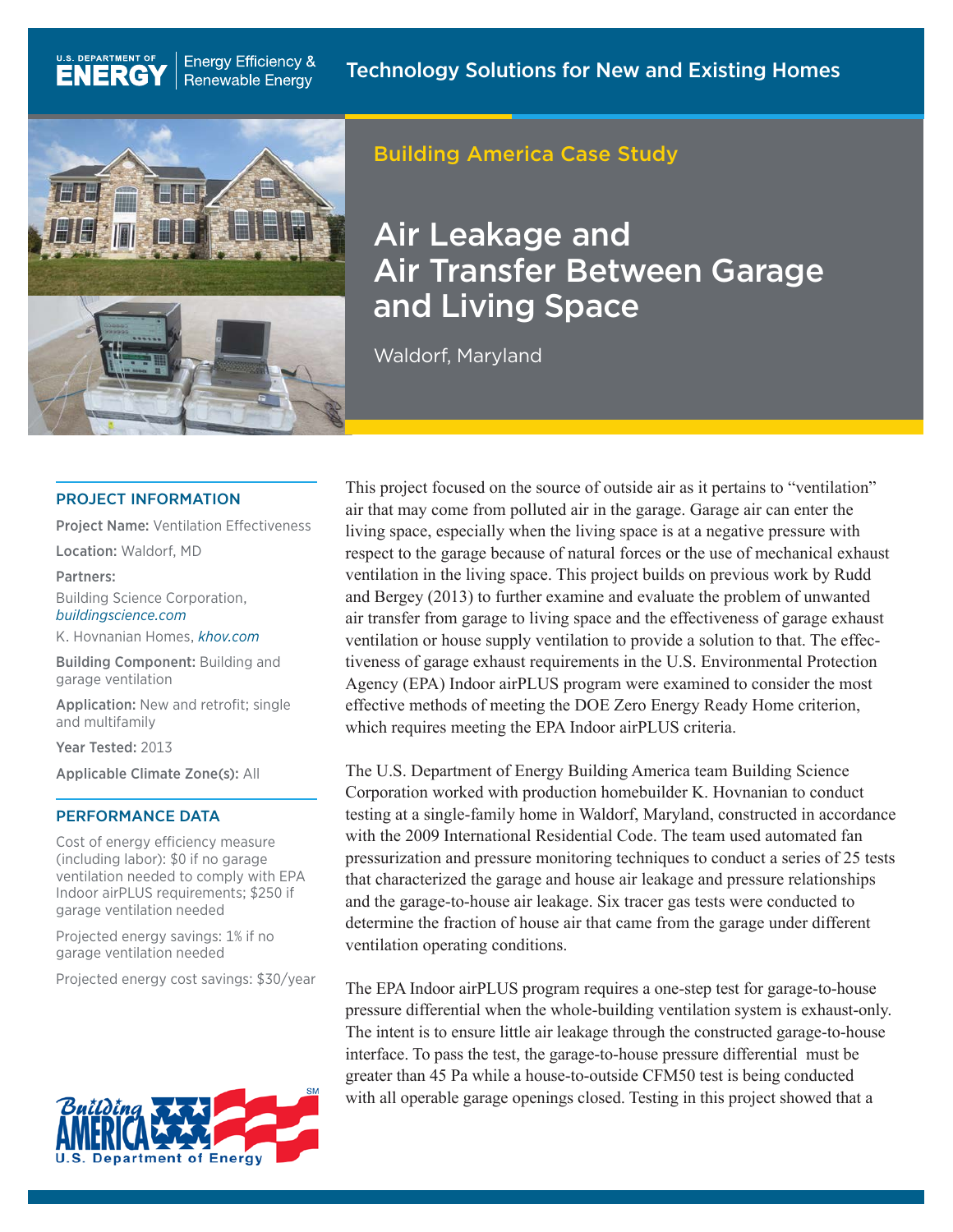

**Energy Efficiency &** 

**Renewable Energy** 

# Building America Case Study

# Air Leakage and Air Transfer Between Garage and Living Space

Waldorf, Maryland

#### PROJECT INFORMATION

Project Name: Ventilation Effectiveness

Location: Waldorf, MD

U.S. DEPARTMENT OF

**ENERGY** 

Partners:

Building Science Corporation, *[buildingscience.com](http://buildingscience.com)*

K. Hovnanian Homes, *[khov.com](http://www.khov.com)*

Building Component: Building and garage ventilation

Application: New and retrofit; single and multifamily

Year Tested: 2013

Applicable Climate Zone(s): All

#### PERFORMANCE DATA

Cost of energy efficiency measure (including labor): \$0 if no garage ventilation needed to comply with EPA Indoor airPLUS requirements; \$250 if garage ventilation needed

Projected energy savings: 1% if no garage ventilation needed

Projected energy cost savings: \$30/year



This project focused on the source of outside air as it pertains to "ventilation" air that may come from polluted air in the garage. Garage air can enter the living space, especially when the living space is at a negative pressure with respect to the garage because of natural forces or the use of mechanical exhaust ventilation in the living space. This project builds on previous work by Rudd and Bergey (2013) to further examine and evaluate the problem of unwanted air transfer from garage to living space and the effectiveness of garage exhaust ventilation or house supply ventilation to provide a solution to that. The effectiveness of garage exhaust requirements in the U.S. Environmental Protection Agency (EPA) Indoor airPLUS program were examined to consider the most effective methods of meeting the DOE Zero Energy Ready Home criterion, which requires meeting the EPA Indoor airPLUS criteria.

The U.S. Department of Energy Building America team Building Science Corporation worked with production homebuilder K. Hovnanian to conduct testing at a single-family home in Waldorf, Maryland, constructed in accordance with the 2009 International Residential Code. The team used automated fan pressurization and pressure monitoring techniques to conduct a series of 25 tests that characterized the garage and house air leakage and pressure relationships and the garage-to-house air leakage. Six tracer gas tests were conducted to determine the fraction of house air that came from the garage under different ventilation operating conditions.

The EPA Indoor airPLUS program requires a one-step test for garage-to-house pressure differential when the whole-building ventilation system is exhaust-only. The intent is to ensure little air leakage through the constructed garage-to-house interface. To pass the test, the garage-to-house pressure differential must be greater than 45 Pa while a house-to-outside CFM50 test is being conducted with all operable garage openings closed. Testing in this project showed that a